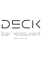

**M E N U & P R I C E L I S T**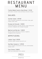# R E S T A U R ANT MENU

## Freshly Baked Country Style Bread | €4.50

with butter, aromatic honey and Naxos Graviera cheese

## **SALADS**

## Summer Salad | €14.00

cherry tomatoes, blackberries, locust bean crisps, goat cheese cream, basil

### Orange and Avocado | €18.00

mixed salad greens, avocado, pecans, crispy shrimp and aromatic vinaigrette with orange and ginger

### Beetroot and Burrata | €18.00

Burrata cheese, beetroots in textures, raspberry vinaigrette and nut granola

## A P P E T I Z E R S

### Lobster Soup | €19.00

aromatic lobster veloute soup with corn

## Sea Bass Carpaccio | €19.00

urchin, aromatic oil and lemon with yuzu, taramosalata, tomato confit

### Tuna Tartare | €18.00

fresh tuna, watermelon, mint, sesame

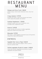# R E S T A U R ANT MENU

## Octopus and Citrus Fruits | €18.00

grilled octopus, fennel salad, Kalamata olives, citrus fruit sauce

## Crispy Calamari | €17.00

breaded with panko, cream with taramas and tomato confit, salad with pumpkin and saltwort

## Scallops Avgolemono | €19.00

scallops au gratin with crust of hazelnuts, curry, Cyclades louza, avgolemono sauce

## Arancini | €14.00

crispy rice balls with aroma of stuffed vegetables, Metsovone cheese and tomato confit

## Moussaka | €14.00

Beef ragout , grilled eggplant, bechamel sauce with graviera cheese and crispy straw potatoes

## **ENTREES**

#### Spaghetti Neri Cacio e Pepe | €26.00

parmesan cheese and black pepper, saffron confit in olive oil, summer truffle

### Stuffed vegetables Risotto & Lobster | €48.00

risotto with summer vegetables and aroma of stuffed vegetables and grilled lobster

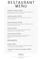# R E S T A U R ANT MENU

## Grouper Fricassee | €42.00

grilled grouper, summer greens with herbs, avgolemono sauce flavored with lime, nori powder

## Lemon Sea Bass | €37.00

whole filleted sea bass saute, lemon sauce, summer groats and quinoa

## Lamb & Caponata | €47.00

lamb chop, french cut, caponata with aubergines, crispy potato, peanut pesto sauce

## Rib Eye | €47.00

Black Angus rib eye, sauteed baby potatoes, grilled baby gem lettuce, chimichurri sauce

## Lemon Chicken | €24.00

grilled chicken thighs with spices, french fries and sauteed pumpkin, grilled lemon and thyme sauce

## **DESSERTS**

### Ekmek | €12.00

custard of mastic and machlepi, crispy kataifi, roasted nuts, peanut ice cream, blackberry

#### Variety of ice creams and sorbets  $\vert$  £10.00

3 scoops

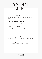# B R UNC H MENU

## E G G S

### Eggs Benedict | €12.00

toast, bacon, roasted tomatoes, poached eggs, yogurt sauce

## Greek Eggs Benedict | €13.00

feta cheese, tomato, olives, yogurt sauce

### Croque Madame | €10.00

poached eggs, prosciutto cotto and graviera cheese

## Kagianas | €10.00

scrambled eggs with roasted tomatoes, feta cheese, thyme, toasted bread

#### Avocado & Eggs | €14.00

poached eggs, avocado cream, cherry tomatoes, toasted bread

## Avocado & Kagianas | €13.00

kagianas, avocado cream, feta cheese, cherry tomatoes, toasted bread

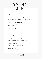# B R UNC H MENU

# **SWEET**

French Toast & Honey | €9.00 homemade tsoureki, honey, walnuts and fluffy cream

## French Toast & Nutella | €10.00

homemade tsoureki, Nutella, caramelized bananas, chocolate sauce

#### French Toast & Fruit | €12.00

homemade brioche, strawberries, blackberries, fluffy cream and red fruit sauce

## **HEALTHY**

#### Berry Smoothie Bowl | €10.00

banana, mulberries, chia seeds, oats, almonds

#### Yogurt with fruit | €9.00

seasonal fruit, granola and honey

#### Spinach pie | €9.00

without phyllo, with feta cheese and dill